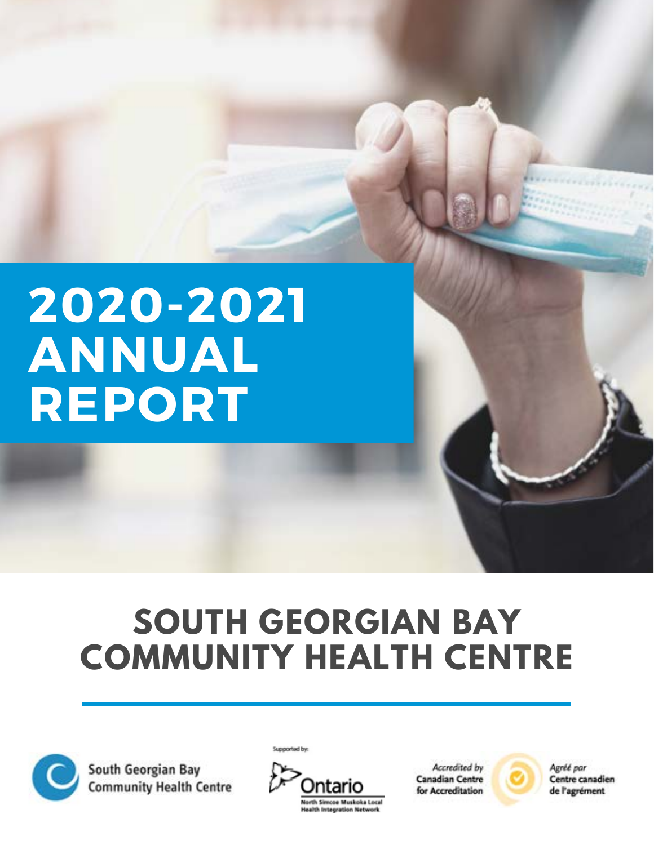## **2020-2021 ANNUAL REPORT**

## **SOUTH GEORGIAN BAY COMMUNITY HEALTH CENTRE**



South Georgian Bay **Community Health Centre** 



Supported by:

Accredited by **Canadian Centre** for Accreditation Agréé par

Centre canadien de l'agrément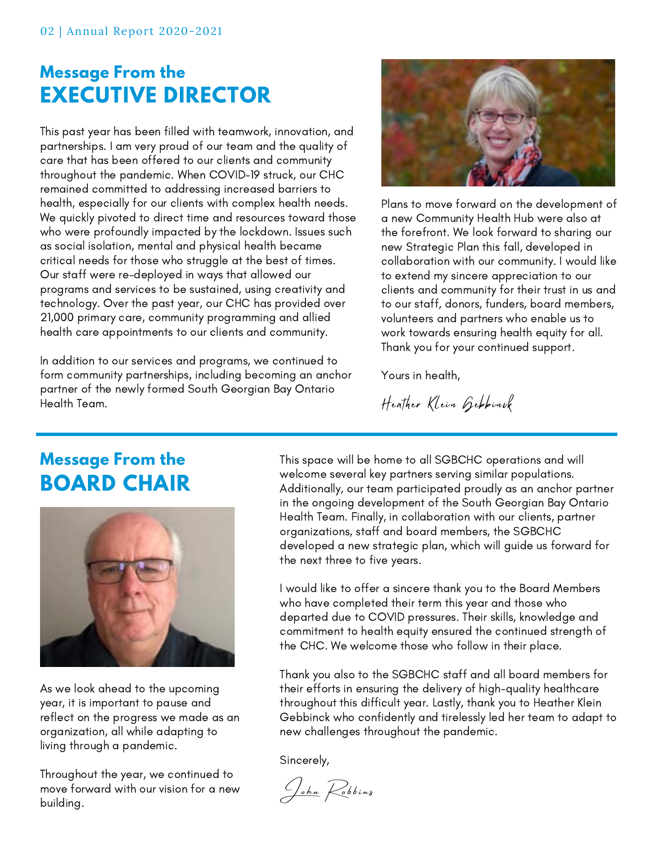### **Message From the EXECUTIVE DIRECTOR**

This past year has been filled with teamwork, innovation, and partnerships. I am very proud of our team and the quality of care that has been offered to our clients and community throughout the pandemic. When COVID-19 struck, our CHC remained committed to addressing increased barriers to health, especially for our clients with complex health needs. We quickly pivoted to direct time and resources toward those who were profoundly impacted by the lockdown. Issues such as social isolation, mental and physical health became critical needs for those who struggle at the best of times. Our staff were re-deployed in ways that allowed our programs and services to be sustained, using creativity and technology. Over the past year, our CHC has provided over 21,000 primary care, community programming and allied health care appointments to our clients and community.

In addition to our services and programs, we continued to form community partnerships, including becoming an anchor partner of the newly formed South Georgian Bay Ontario Health Team.



Plans to move forward on the development of a new Community Health Hub were also at the forefront. We look forward to sharing our new Strategic Plan this fall, developed in collaboration with our community. I would like to extend my sincere appreciation to our clients and community for their trust in us and to our staff, donors, funders, board members, volunteers and partners who enable us to work towards ensuring health equity for all. Thank you for your continued support.

Yours in health,

Heather Klein Gebbinck

### **Message From the BOARD CHAIR**



As we look ahead to the upcoming year, it is important to pause and reflect on the progress we made as an organization, all while adapting to living through a pandemic.

Throughout the year, we continued to move forward with our vision for a new building.

This space will be home to all SGBCHC operations and will welcome several key partners serving similar populations. Additionally, our team participated proudly as an anchor partner in the ongoing development of the South Georgian Bay Ontario Health Team. Finally, in collaboration with our clients, partner organizations, staff and board members, the SGBCHC developed a new strategic plan, which will guide us forward for the next three to five years.

I would like to offer a sincere thank you to the Board Members who have completed their term this year and those who departed due to COVID pressures. Their skills, knowledge and commitment to health equity ensured the continued strength of the CHC. We welcome those who follow in their place.

Thank you also to the SGBCHC staff and all board members for their efforts in ensuring the delivery of high-quality healthcare throughout this difficult year. Lastly, thank you to Heather Klein Gebbinck who confidently and tirelessly led her team to adapt to new challenges throughout the pandemic.

Sincerely,

John Robbins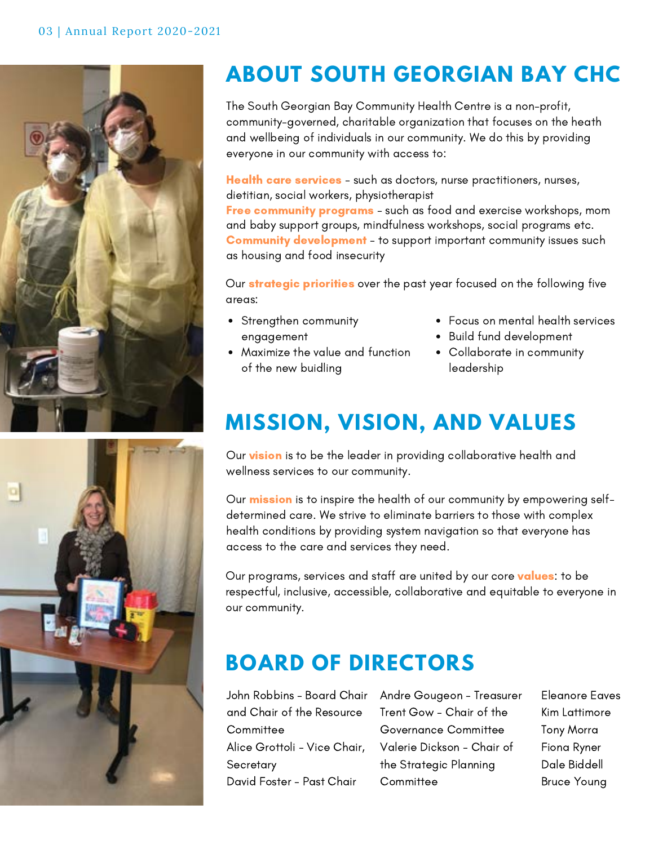



### **ABOUT SOUTH GEORGIAN BAY CHC**

The South Georgian Bay Community Health Centre is a non-profit, community-governed, charitable organization that focuses on the heath and wellbeing of individuals in our community. We do this by providing everyone in our community with access to:

Health care services - such as doctors, nurse practitioners, nurses, dietitian, social workers, physiotherapist Free community programs - such as food and exercise workshops, mom

and baby support groups, mindfulness workshops, social programs etc. **Community development** - to support important community issues such as housing and food insecurity

Our **strategic priorities** over the past year focused on the following five areas:

- Strengthen community engagement
- Maximize the value and function of the new buidling
- Focus on mental health services
- Build fund development
- Collaborate in community leadership

### **MISSION, VISION, AND VALUES**

Our vision is to be the leader in providing collaborative health and wellness services to our community.

Our **mission** is to inspire the health of our community by empowering selfdetermined care. We strive to eliminate barriers to those with complex health conditions by providing system navigation so that everyone has access to the care and services they need.

Our programs, services and staff are united by our core **values**: to be respectful, inclusive, accessible, collaborative and equitable to everyone in our community.

### **BOARD OF DIRECTORS**

and Chair of the Resource **Committee** Alice Grottoli - Vice Chair, **Secretary** David Foster - Past Chair

John Robbins - Board Chair Andre Gougeon - Treasurer Trent Gow - Chair of the Governance Committee Valerie Dickson - Chair of the Strategic Planning **Committee** 

Eleanore Eaves Kim Lattimore Tony Morra Fiona Ryner Dale Biddell Bruce Young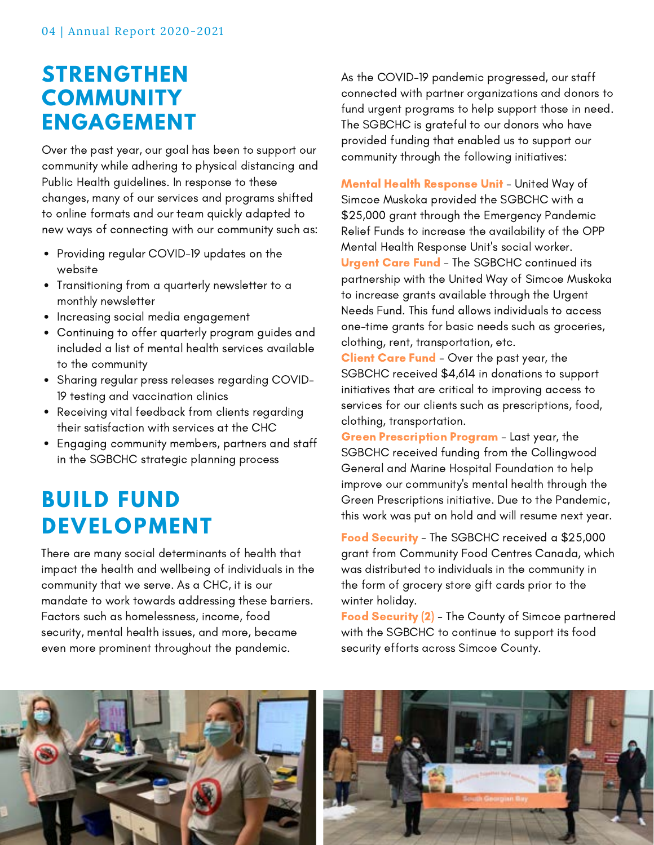### **STRENGTHEN COMMUNITY ENGAGEMENT**

Over the past year, our goal has been to support our community while adhering to physical distancing and Public Health guidelines. In response to these changes, many of our services and programs shifted to online formats and our team quickly adapted to new ways of connecting with our community such as:

- Providing regular COVID-19 updates on the website
- Transitioning from a quarterly newsletter to a monthly newsletter
- Increasing social media engagement
- Continuing to offer quarterly program guides and included a list of mental health services available to the community
- Sharing regular press releases regarding COVID-19 testing and vaccination clinics
- Receiving vital feedback from clients regarding their satisfaction with services at the CHC
- Engaging community members, partners and staff in the SGBCHC strategic planning process

### **BUILD FUND DEVELOPMENT**

There are many social determinants of health that impact the health and wellbeing of individuals in the community that we serve. As a CHC, it is our mandate to work towards addressing these barriers. Factors such as homelessness, income, food security, mental health issues, and more, became even more prominent throughout the pandemic.

As the COVID-19 pandemic progressed, our staff connected with partner organizations and donors to fund urgent programs to help support those in need. The SGBCHC is grateful to our donors who have provided funding that enabled us to support our community through the following initiatives:

Mental Health Response Unit - United Way of Simcoe Muskoka provided the SGBCHC with a \$25,000 grant through the Emergency Pandemic Relief Funds to increase the availability of the OPP Mental Health Response Unit's social worker. Urgent Care Fund - The SGBCHC continued its partnership with the United Way of Simcoe Muskoka to increase grants available through the Urgent Needs Fund. This fund allows individuals to access one-time grants for basic needs such as groceries, clothing, rent, transportation, etc.

**Client Care Fund** - Over the past year, the SGBCHC received \$4,614 in donations to support initiatives that are critical to improving access to services for our clients such as prescriptions, food, clothing, transportation.

**Green Prescription Program** - Last year, the SGBCHC received funding from the Collingwood General and Marine Hospital Foundation to help improve our community's mental health through the Green Prescriptions initiative. Due to the Pandemic, this work was put on hold and will resume next year.

Food Security - The SGBCHC received a \$25,000 grant from Community Food Centres Canada, which was distributed to individuals in the community in the form of grocery store gift cards prior to the winter holiday.

Food Security (2) - The County of Simcoe partnered with the SGBCHC to continue to support its food security efforts across Simcoe County.



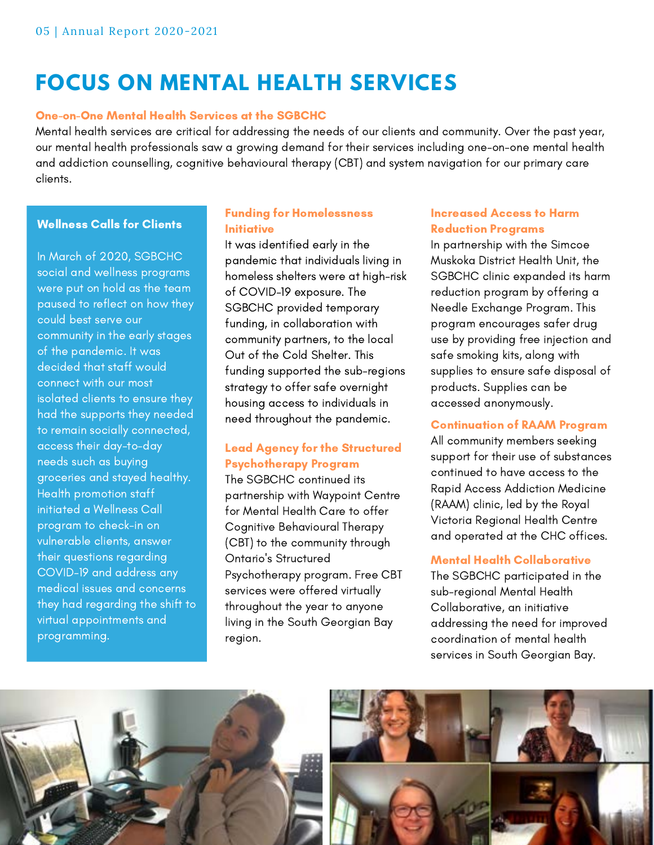### **FOCUS ON MENTAL HEALTH SERVICES**

#### One-on-One Mental Health Services at the SGBCHC

Mental health services are critical for addressing the needs of our clients and community. Over the past year, our mental health professionals saw a growing demand for their services including one-on-one mental health and addiction counselling, cognitive behavioural therapy (CBT) and system navigation for our primary care clients.

#### Wellness Calls for Clients

In March of 2020, SGBCHC social and wellness programs were put on hold as the team paused to reflect on how they could best serve our community in the early stages of the pandemic. It was decided that staff would connect with our most isolated clients to ensure they had the supports they needed to remain socially connected, access their day-to-day needs such as buying groceries and stayed healthy. Health promotion staff initiated a Wellness Call program to check-in on vulnerable clients, answer their questions regarding COVID-19 and address any medical issues and concerns they had regarding the shift to virtual appointments and programming.

#### Funding for Homelessness Initiative

It was identified early in the pandemic that individuals living in homeless shelters were at high-risk of COVID-19 exposure. The SGBCHC provided temporary funding, in collaboration with community partners, to the local Out of the Cold Shelter. This funding supported the sub-regions strategy to offer safe overnight housing access to individuals in need throughout the pandemic.

#### Lead Agency for the Structured Psychotherapy Program

The SGBCHC continued its partnership with Waypoint Centre for Mental Health Care to offer Cognitive Behavioural Therapy (CBT) to the community through Ontario's Structured Psychotherapy program. Free CBT services were offered virtually throughout the year to anyone living in the South Georgian Bay region.

#### Increased Access to Harm Reduction Programs

In partnership with the Simcoe Muskoka District Health Unit, the SGBCHC clinic expanded its harm reduction program by offering a Needle Exchange Program. This program encourages safer drug use by providing free injection and safe smoking kits, along with supplies to ensure safe disposal of products. Supplies can be accessed anonymously.

#### Continuation of RAAM Program

All community members seeking support for their use of substances continued to have access to the Rapid Access Addiction Medicine (RAAM) clinic, led by the Royal Victoria Regional Health Centre and operated at the CHC offices.

#### Mental Health Collaborative

The SGBCHC participated in the sub-regional Mental Health Collaborative, an initiative addressing the need for improved coordination of mental health services in South Georgian Bay.



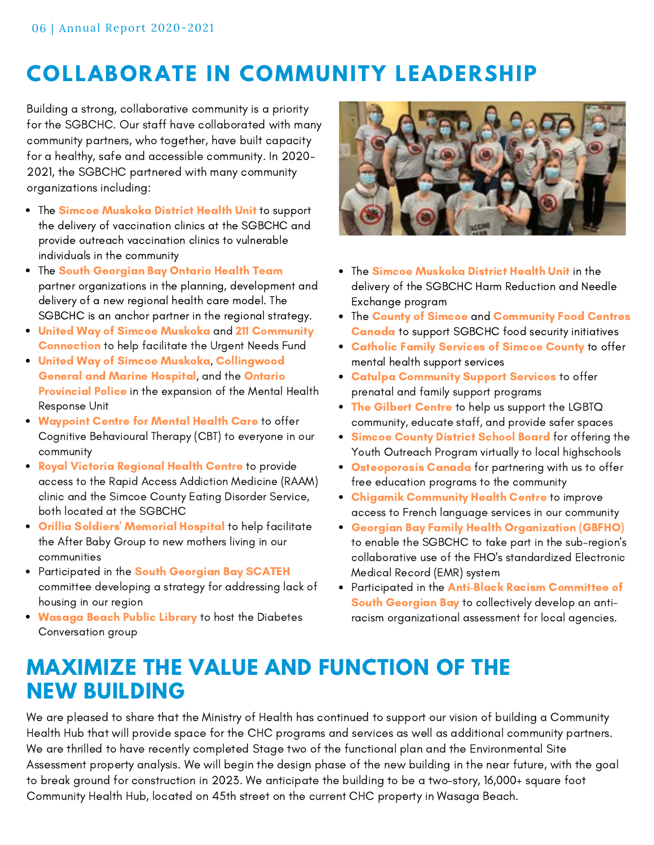### **COLLABORATE IN COMMUNITY LEADERSHIP**

Building a strong, collaborative community is a priority for the SGBCHC. Our staff have collaborated with many community partners, who together, have built capacity for a healthy, safe and accessible community. In 2020- 2021, the SGBCHC partnered with many community organizations including:

- The Simcoe Muskoka District Health Unit to support the delivery of vaccination clinics at the SGBCHC and provide outreach vaccination clinics to vulnerable individuals in the community
- The South Georgian Bay Ontario Health Team partner organizations in the planning, development and delivery of a new regional health care model. The SGBCHC is an anchor partner in the regional strategy.
- United Way of Simcoe Muskoka and 211 Community Connection to help facilitate the Urgent Needs Fund
- United Way of Simcoe Muskoka, Collingwood General and Marine Hospital, and the Ontario Provincial Police in the expansion of the Mental Health Response Unit
- Waypoint Centre for Mental Health Care to offer Cognitive Behavioural Therapy (CBT) to everyone in our community
- . Royal Victoria Regional Health Centre to provide access to the Rapid Access Addiction Medicine (RAAM) clinic and the Simcoe County Eating Disorder Service, both located at the SGBCHC
- **Orillia Soldiers' Memorial Hospital** to help facilitate the After Baby Group to new mothers living in our communities
- Participated in the South Georgian Bay SCATEH committee developing a strategy for addressing lack of housing in our region
- . Wasaga Beach Public Library to host the Diabetes Conversation group



- The Simcoe Muskoka District Health Unit in the delivery of the SGBCHC Harm Reduction and Needle Exchange program
- The County of Simcoe and Community Food Centres Canada to support SGBCHC food security initiatives
- **Catholic Family Services of Simcoe County to offer** mental health support services
- **Catulpa Community Support Services to offer** prenatal and family support programs
- The Gilbert Centre to help us support the LGBTQ community, educate staff, and provide safer spaces
- Simcoe County District School Board for offering the  $\bullet$ Youth Outreach Program virtually to local highschools
- **Osteoporosis Canada** for partnering with us to offer free education programs to the community
- Chigamik Community Health Centre to improve access to French language services in our community
- Georgian Bay Family Health Organization (GBFHO)  $\bullet$ to enable the SGBCHC to take part in the sub-region's collaborative use of the FHO's standardized Electronic Medical Record (EMR) system
- Participated in the Anti-Black Racism Committee of South Georgian Bay to collectively develop an antiracism organizational assessment for local agencies.

### **MAXIMIZE THE VALUE AND FUNCTION OF THE NEW BUILDING**

We are pleased to share that the Ministry of Health has continued to support our vision of building a Community Health Hub that will provide space for the CHC programs and services as well as additional community partners. We are thrilled to have recently completed Stage two of the functional plan and the Environmental Site Assessment property analysis. We will begin the design phase of the new building in the near future, with the goal to break ground for construction in 2023. We anticipate the building to be a two-story, 16,000+ square foot Community Health Hub, located on 45th street on the current CHC property in Wasaga Beach.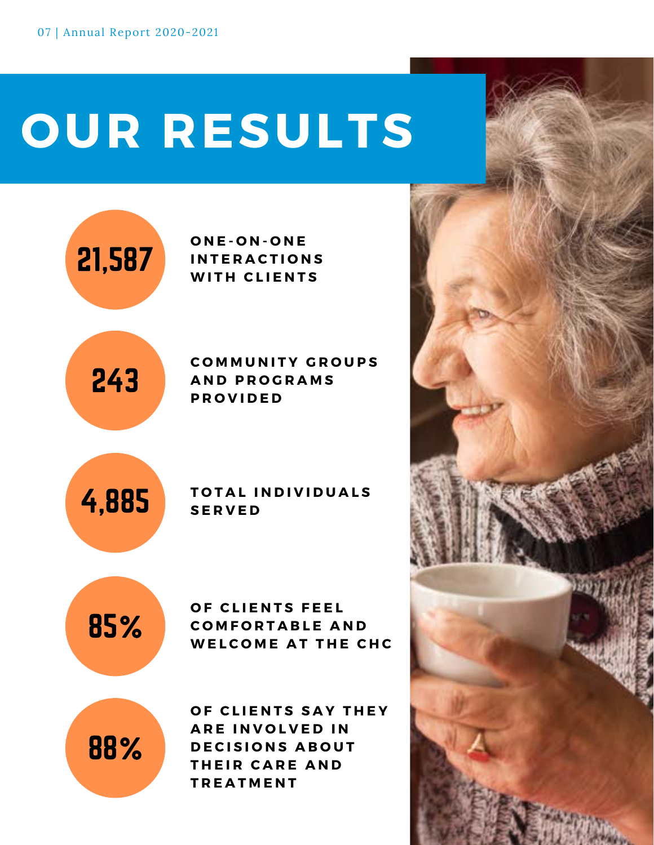# **OUR RESULTS**





21,587

#### **C O M M U N I T Y G R O U P S A N D P R O G R A M S P R O V I D E D**

4,885

#### **T O T A L I N D I V I D U A L S S E R V E D**

85%

**OF CLIENTS FEEL C O M F O R T A B L E A N D WELCOME AT THE CHC** 

88%

**OF CLIENTS SAY THEY ARE INVOLVED IN DECISIONS ABOUT THEIR CARE AND T R E A T M E N T**